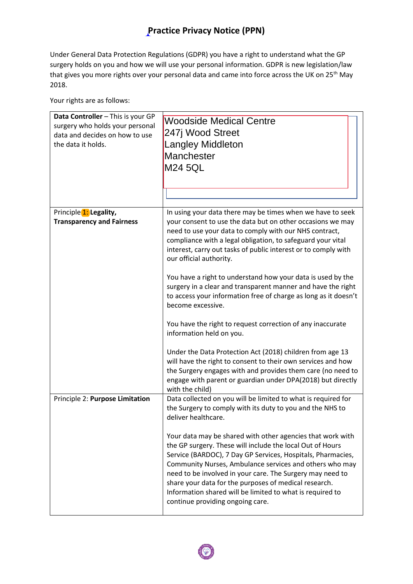## **Practice Privacy Notice (PPN)**

Under General Data Protection Regulations (GDPR) you have a right to understand what the GP surgery holds on you and how we will use your personal information. GDPR is new legislation/law that gives you more rights over your personal data and came into force across the UK on 25<sup>th</sup> May 2018.

Your rights are as follows:

| Data Controller - This is your GP<br>surgery who holds your personal<br>data and decides on how to use<br>the data it holds. | <b>Woodside Medical Centre</b><br>247j Wood Street<br>Langley Middleton<br>Manchester<br><b>M24 5QL</b>                                                                                                                                                                                                                                                                                                                                                                                                                                                                                                                                                                                                                                                                                      |
|------------------------------------------------------------------------------------------------------------------------------|----------------------------------------------------------------------------------------------------------------------------------------------------------------------------------------------------------------------------------------------------------------------------------------------------------------------------------------------------------------------------------------------------------------------------------------------------------------------------------------------------------------------------------------------------------------------------------------------------------------------------------------------------------------------------------------------------------------------------------------------------------------------------------------------|
| Principle 1: Legality,<br><b>Transparency and Fairness</b>                                                                   | In using your data there may be times when we have to seek<br>your consent to use the data but on other occasions we may<br>need to use your data to comply with our NHS contract,<br>compliance with a legal obligation, to safeguard your vital<br>interest, carry out tasks of public interest or to comply with<br>our official authority.<br>You have a right to understand how your data is used by the<br>surgery in a clear and transparent manner and have the right<br>to access your information free of charge as long as it doesn't<br>become excessive.<br>You have the right to request correction of any inaccurate<br>information held on you.<br>Under the Data Protection Act (2018) children from age 13<br>will have the right to consent to their own services and how |
|                                                                                                                              | the Surgery engages with and provides them care (no need to<br>engage with parent or guardian under DPA(2018) but directly<br>with the child)                                                                                                                                                                                                                                                                                                                                                                                                                                                                                                                                                                                                                                                |
| Principle 2: Purpose Limitation                                                                                              | Data collected on you will be limited to what is required for<br>the Surgery to comply with its duty to you and the NHS to<br>deliver healthcare.<br>Your data may be shared with other agencies that work with<br>the GP surgery. These will include the local Out of Hours<br>Service (BARDOC), 7 Day GP Services, Hospitals, Pharmacies,<br>Community Nurses, Ambulance services and others who may<br>need to be involved in your care. The Surgery may need to<br>share your data for the purposes of medical research.<br>Information shared will be limited to what is required to<br>continue providing ongoing care.                                                                                                                                                                |

e